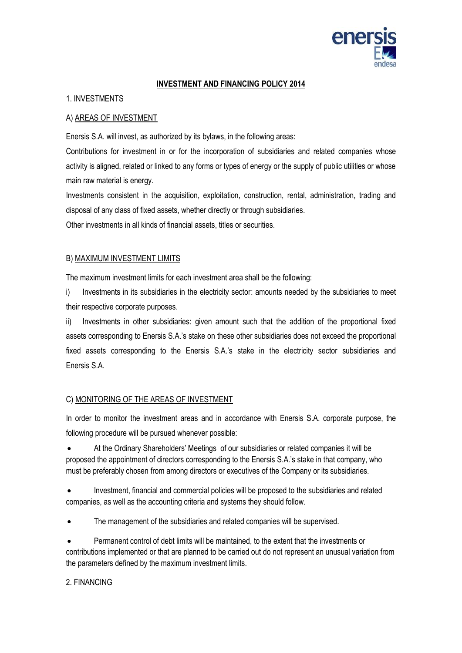

#### **INVESTMENT AND FINANCING POLICY 2014**

## 1. INVESTMENTS

### A) AREAS OF INVESTMENT

Enersis S.A. will invest, as authorized by its bylaws, in the following areas:

Contributions for investment in or for the incorporation of subsidiaries and related companies whose activity is aligned, related or linked to any forms or types of energy or the supply of public utilities or whose main raw material is energy.

Investments consistent in the acquisition, exploitation, construction, rental, administration, trading and disposal of any class of fixed assets, whether directly or through subsidiaries.

Other investments in all kinds of financial assets, titles or securities.

### B) MAXIMUM INVESTMENT LIMITS

The maximum investment limits for each investment area shall be the following:

i) Investments in its subsidiaries in the electricity sector: amounts needed by the subsidiaries to meet their respective corporate purposes.

ii) Investments in other subsidiaries: given amount such that the addition of the proportional fixed assets corresponding to Enersis S.A.'s stake on these other subsidiaries does not exceed the proportional fixed assets corresponding to the Enersis S.A.'s stake in the electricity sector subsidiaries and Enersis S.A.

#### C) MONITORING OF THE AREAS OF INVESTMENT

In order to monitor the investment areas and in accordance with Enersis S.A. corporate purpose, the following procedure will be pursued whenever possible:

 At the Ordinary Shareholders' Meetings of our subsidiaries or related companies it will be proposed the appointment of directors corresponding to the Enersis S.A.'s stake in that company, who must be preferably chosen from among directors or executives of the Company or its subsidiaries.

 Investment, financial and commercial policies will be proposed to the subsidiaries and related companies, as well as the accounting criteria and systems they should follow.

The management of the subsidiaries and related companies will be supervised.

 Permanent control of debt limits will be maintained, to the extent that the investments or contributions implemented or that are planned to be carried out do not represent an unusual variation from the parameters defined by the maximum investment limits.

## 2. FINANCING